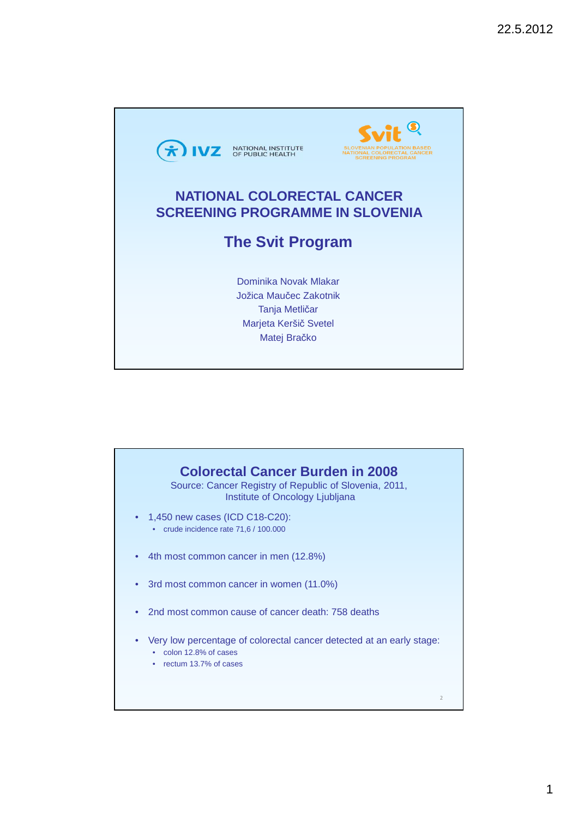

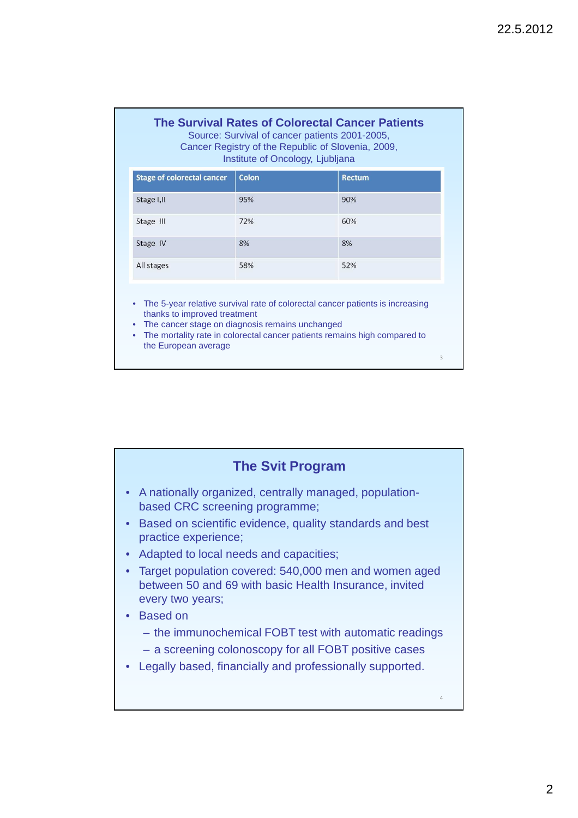### **The Survival Rates of Colorectal Cancer Patients**

Source: Survival of cancer patients 2001-2005, Cancer Registry of the Republic of Slovenia, 2009, Institute of Oncology, Ljubljana

| <b>Stage of colorectal cancer</b> | <b>Colon</b> | <b>Rectum</b> |
|-----------------------------------|--------------|---------------|
| Stage I, II                       | 95%          | 90%           |
| Stage III                         | 72%          | 60%           |
| Stage IV                          | 8%           | 8%            |
| All stages                        | 58%          | 52%           |

• The 5-year relative survival rate of colorectal cancer patients is increasing thanks to improved treatment

- The cancer stage on diagnosis remains unchanged
- The mortality rate in colorectal cancer patients remains high compared to the European average

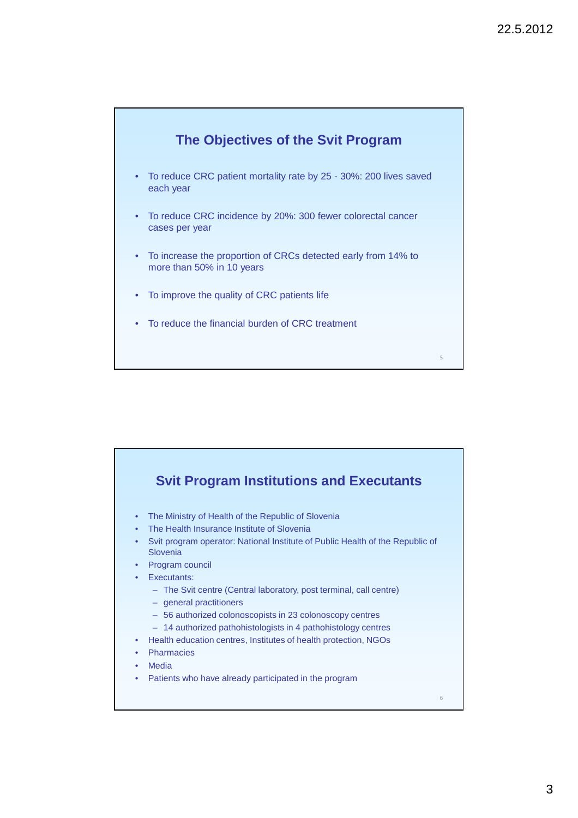

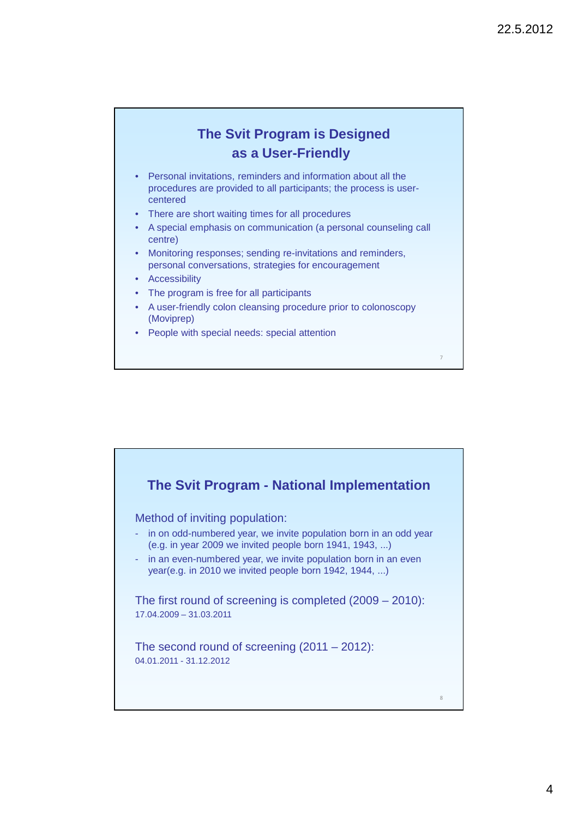## **The Svit Program is Designed as a User-Friendly**

- Personal invitations, reminders and information about all the procedures are provided to all participants; the process is usercentered
- There are short waiting times for all procedures
- A special emphasis on communication (a personal counseling call centre)
- Monitoring responses; sending re-invitations and reminders, personal conversations, strategies for encouragement
- **Accessibility**
- The program is free for all participants
- A user-friendly colon cleansing procedure prior to colonoscopy (Moviprep)
- People with special needs: special attention

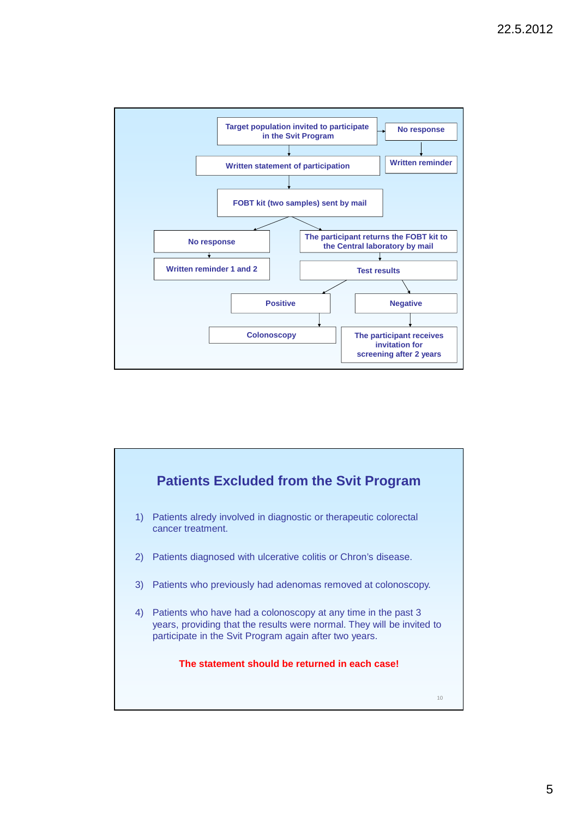

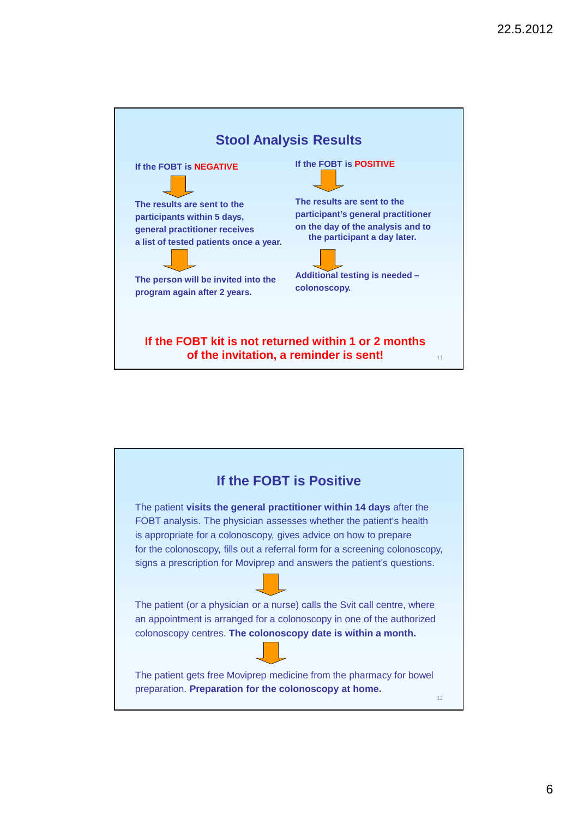

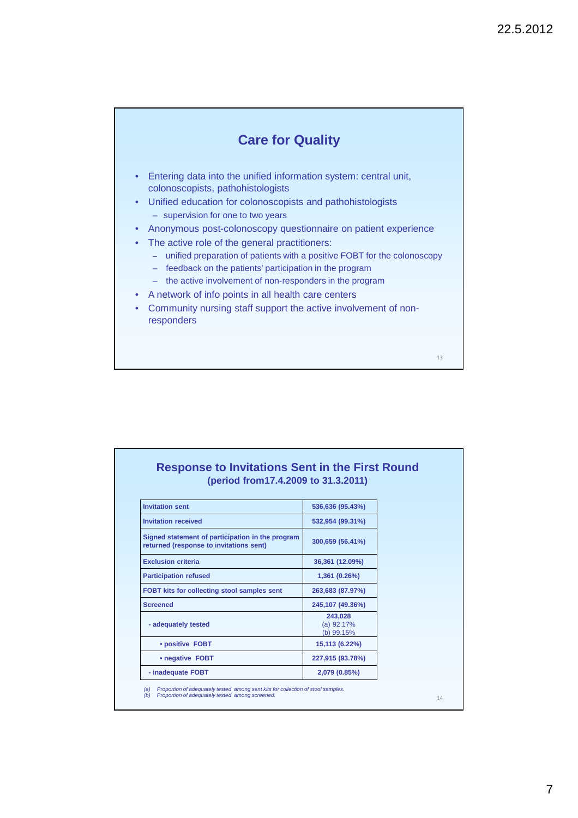### **Care for Quality**

- Entering data into the unified information system: central unit, colonoscopists, pathohistologists
- Unified education for colonoscopists and pathohistologists
	- supervision for one to two years
- Anonymous post-colonoscopy questionnaire on patient experience
- The active role of the general practitioners:
	- unified preparation of patients with a positive FOBT for the colonoscopy
	- feedback on the patients' participation in the program
	- the active involvement of non-responders in the program
- A network of info points in all health care centers
- Community nursing staff support the active involvement of nonresponders

13

### **Response to Invitations Sent in the First Round (period from17.4.2009 to 31.3.2011)**

| <b>Invitation sent</b>                                                                      | 536,636 (95.43%)                      |
|---------------------------------------------------------------------------------------------|---------------------------------------|
| <b>Invitation received</b>                                                                  | 532,954 (99.31%)                      |
| Signed statement of participation in the program<br>returned (response to invitations sent) | 300,659 (56.41%)                      |
| <b>Exclusion criteria</b>                                                                   | 36,361 (12.09%)                       |
| <b>Participation refused</b>                                                                | 1,361 (0.26%)                         |
| FOBT kits for collecting stool samples sent                                                 | 263,683 (87.97%)                      |
| <b>Screened</b>                                                                             | 245,107 (49.36%)                      |
| - adequately tested                                                                         | 243,028<br>$(a)$ 92.17%<br>(b) 99.15% |
| • positive FOBT                                                                             | 15,113 (6.22%)                        |
| • negative FOBT                                                                             | 227,915 (93.78%)                      |
| - inadequate FOBT                                                                           | 2,079 (0.85%)                         |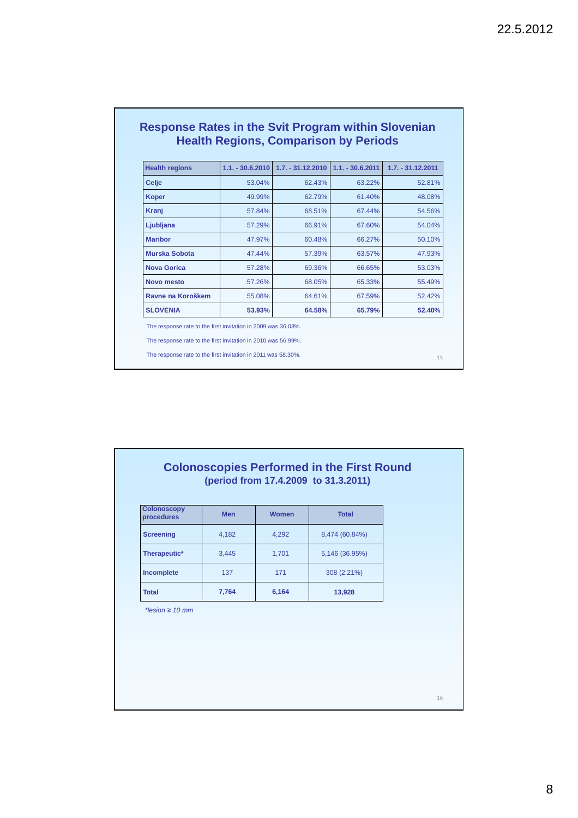| <b>Health regions</b> | $1.1. - 30.6.2010$ | $1.7. - 31.12.2010$ | $1.1 - 30.62011$ | $1.7. - 31.12.2011$ |
|-----------------------|--------------------|---------------------|------------------|---------------------|
| <b>Celje</b>          | 53.04%             | 62.43%              | 63.22%           | 52.81%              |
| <b>Koper</b>          | 49.99%             | 62.79%              | 61.40%           | 48.08%              |
| Kranj                 | 57.84%             | 68.51%              | 67.44%           | 54.56%              |
| Ljubljana             | 57.29%             | 66.91%              | 67.60%           | 54.04%              |
| <b>Maribor</b>        | 47.97%             | 60.48%              | 66.27%           | 50.10%              |
| <b>Murska Sobota</b>  | 47.44%             | 57.39%              | 63.57%           | 47.93%              |
| <b>Nova Gorica</b>    | 57.28%             | 69.36%              | 66.65%           | 53.03%              |
| Novo mesto            | 57.26%             | 68.05%              | 65.33%           | 55.49%              |
| Ravne na Koroškem     | 55.08%             | 64.61%              | 67.59%           | 52.42%              |
| <b>SLOVENIA</b>       | 53.93%             | 64.58%              | 65.79%           | 52.40%              |

#### **Colonoscopies Performed in the First Round (period from 17.4.2009 to 31.3.2011)**

| <b>Colonoscopy</b><br>procedures | <b>Men</b> | <b>Women</b> | <b>Total</b>   |
|----------------------------------|------------|--------------|----------------|
| <b>Screening</b>                 | 4,182      | 4,292        | 8,474 (60.84%) |
| Therapeutic*                     | 3,445      | 1,701        | 5,146 (36.95%) |
| Incomplete                       | 137        | 171          | 308 (2.21%)    |
| <b>Total</b>                     | 7,764      | 6,164        | 13,928         |

\*lesion *≥* 10 mm

8

16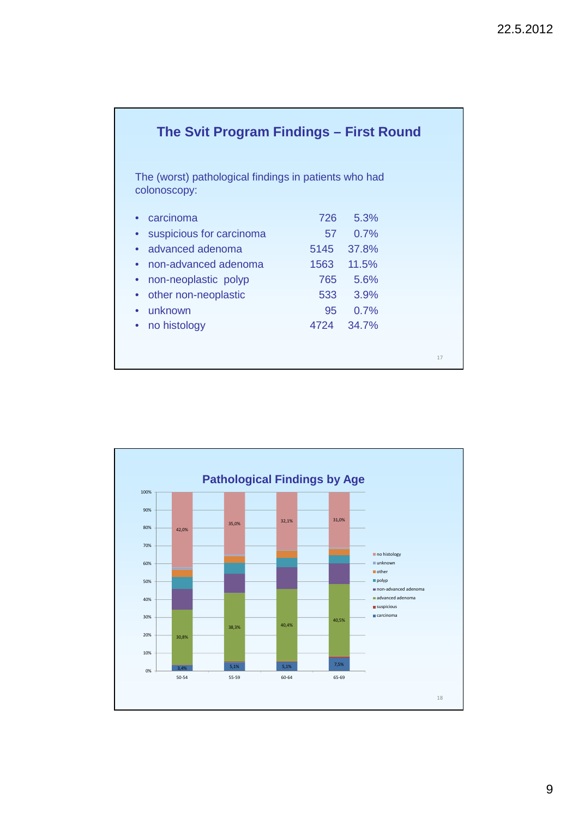| The Svit Program Findings – First Round                               |      |       |    |  |  |  |
|-----------------------------------------------------------------------|------|-------|----|--|--|--|
| The (worst) pathological findings in patients who had<br>colonoscopy: |      |       |    |  |  |  |
| carcinoma<br>$\bullet$                                                | 726  | 5.3%  |    |  |  |  |
| suspicious for carcinoma<br>$\bullet$                                 | 57   | 0.7%  |    |  |  |  |
| advanced adenoma<br>$\bullet$                                         | 5145 | 37.8% |    |  |  |  |
| non-advanced adenoma<br>$\bullet$                                     | 1563 | 11.5% |    |  |  |  |
| non-neoplastic polyp<br>$\bullet$                                     | 765  | 5.6%  |    |  |  |  |
| other non-neoplastic<br>$\bullet$                                     | 533  | 3.9%  |    |  |  |  |
| unknown<br>$\bullet$                                                  | 95   | 0.7%  |    |  |  |  |
| no histology<br>۰                                                     | 4724 | 34.7% |    |  |  |  |
|                                                                       |      |       | 17 |  |  |  |

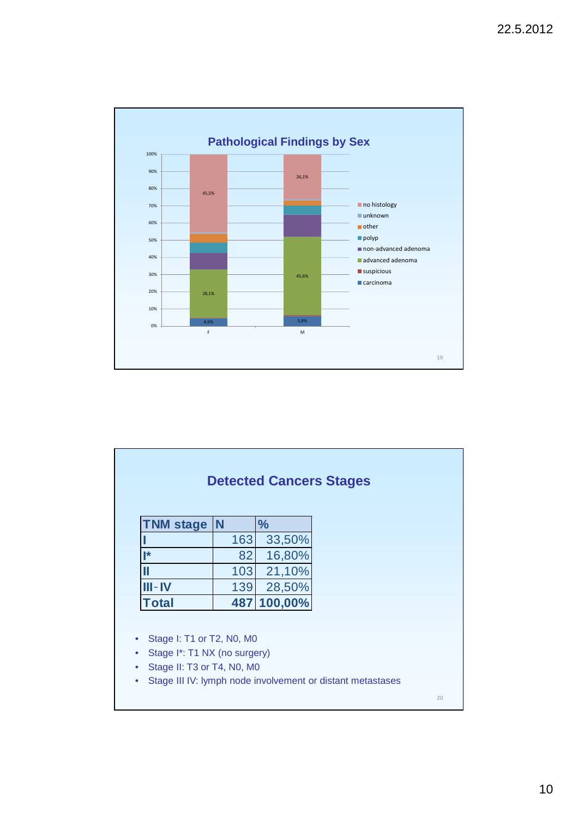